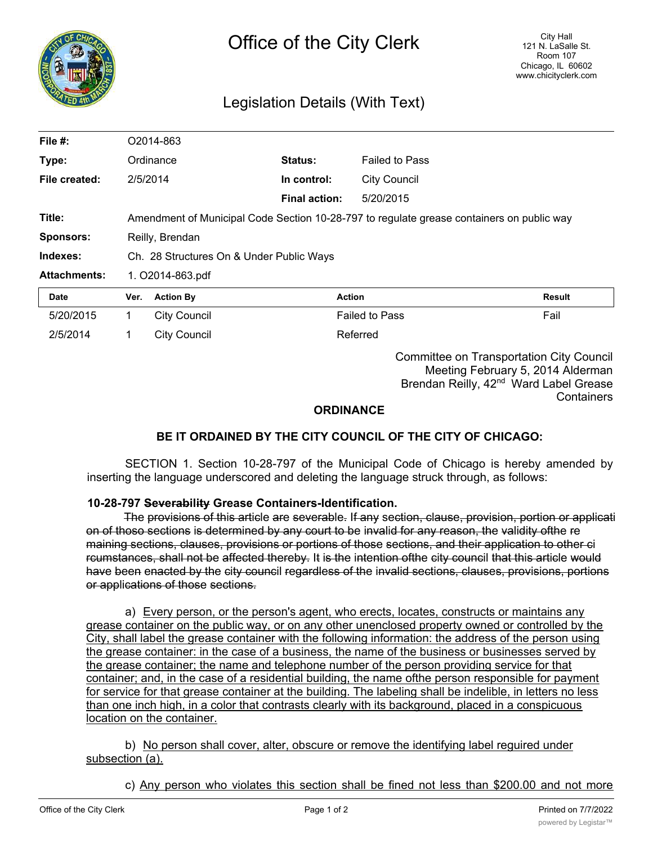

## Legislation Details (With Text)

| File #:             | O2014-863                                                                                 |                     |                      |                       |        |
|---------------------|-------------------------------------------------------------------------------------------|---------------------|----------------------|-----------------------|--------|
| Type:               |                                                                                           | Ordinance           | Status:              | <b>Failed to Pass</b> |        |
| File created:       | 2/5/2014                                                                                  |                     | In control:          | <b>City Council</b>   |        |
|                     |                                                                                           |                     | <b>Final action:</b> | 5/20/2015             |        |
| Title:              | Amendment of Municipal Code Section 10-28-797 to regulate grease containers on public way |                     |                      |                       |        |
| <b>Sponsors:</b>    | Reilly, Brendan                                                                           |                     |                      |                       |        |
| Indexes:            | Ch. 28 Structures On & Under Public Ways                                                  |                     |                      |                       |        |
| <b>Attachments:</b> | 1. O2014-863.pdf                                                                          |                     |                      |                       |        |
| Date                | Ver.                                                                                      | <b>Action By</b>    |                      | <b>Action</b>         | Result |
| 5/20/2015           | 1.                                                                                        | <b>City Council</b> |                      | <b>Failed to Pass</b> | Fail   |
| 2/5/2014            |                                                                                           | City Council        |                      | Referred              |        |

Committee on Transportation City Council Meeting February 5, 2014 Alderman Brendan Reilly, 42<sup>nd</sup> Ward Label Grease **Containers** 

## **ORDINANCE**

## **BE IT ORDAINED BY THE CITY COUNCIL OF THE CITY OF CHICAGO:**

SECTION 1. Section 10-28-797 of the Municipal Code of Chicago is hereby amended by inserting the language underscored and deleting the language struck through, as follows:

## **10-28-797 Severability Grease Containers-Identification.**

The provisions of this article are severable. If any section, clause, provision, portion or applicati on of thoso sections is determined by any court to be invalid for any reason, the validity ofthe re maining sections, clauses, provisions or portions of those sections, and their application to other ci rcumstances, shall not be affected thereby. It is the intention ofthe city council that this article would have been enacted by the city council regardless of the invalid sections, clauses, provisions, portions or applications of those sections.

a) Every person, or the person's agent, who erects, locates, constructs or maintains any grease container on the public way, or on any other unenclosed property owned or controlled by the City, shall label the grease container with the following information: the address of the person using the grease container: in the case of a business, the name of the business or businesses served by the grease container; the name and telephone number of the person providing service for that container; and, in the case of a residential building, the name ofthe person responsible for payment for service for that grease container at the building. The labeling shall be indelible, in letters no less than one inch high, in a color that contrasts clearly with its background, placed in a conspicuous location on the container.

b) No person shall cover, alter, obscure or remove the identifying label reguired under subsection (a).

c) Any person who violates this section shall be fined not less than \$200.00 and not more